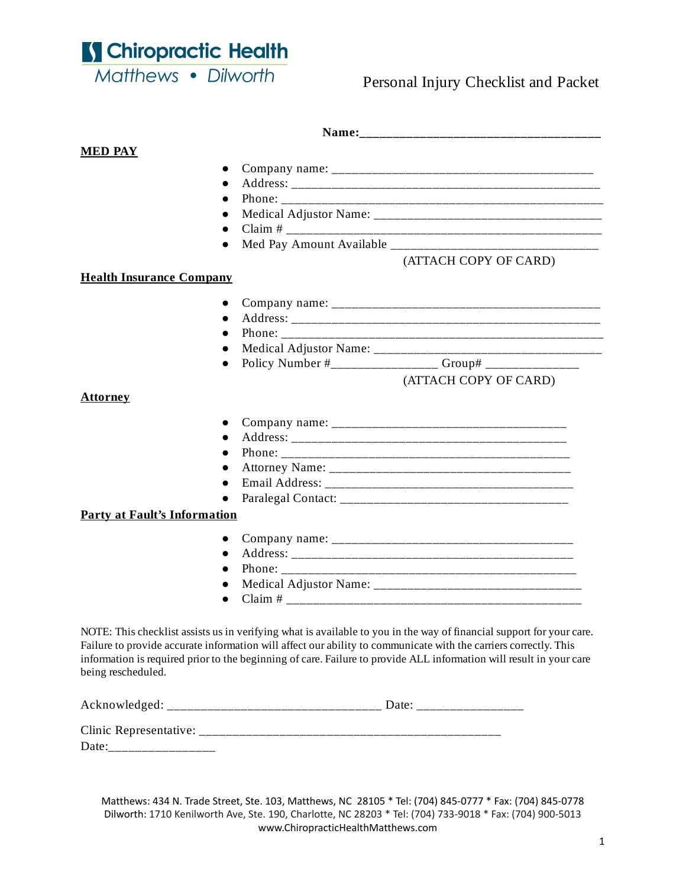S Chiropractic Health Matthews . Dilworth

### Personal Injury Checklist and Packet

| <b>MED PAY</b>                      |                       |
|-------------------------------------|-----------------------|
|                                     |                       |
|                                     |                       |
|                                     |                       |
|                                     |                       |
|                                     |                       |
|                                     | $\bullet$             |
|                                     | (ATTACH COPY OF CARD) |
| <b>Health Insurance Company</b>     |                       |
|                                     | $\bullet$             |
|                                     | $\bullet$             |
|                                     |                       |
|                                     |                       |
|                                     | $\bullet$             |
|                                     | (ATTACH COPY OF CARD) |
| <b>Attorney</b>                     |                       |
|                                     | $\bullet$             |
|                                     | $\bullet$             |
|                                     |                       |
|                                     |                       |
|                                     |                       |
|                                     |                       |
| <b>Party at Fault's Information</b> |                       |
|                                     | $\bullet$             |
|                                     | $\bullet$             |
|                                     |                       |
|                                     |                       |
|                                     | $\bullet$             |

being rescheduled.

Acknowledged: \_\_\_\_\_\_\_\_\_\_\_\_\_\_\_\_\_\_\_\_\_\_\_\_\_\_\_\_\_\_\_\_ Date: \_\_\_\_\_\_\_\_\_\_\_\_\_\_\_\_

| Clinic Representative: |  |
|------------------------|--|
| Date                   |  |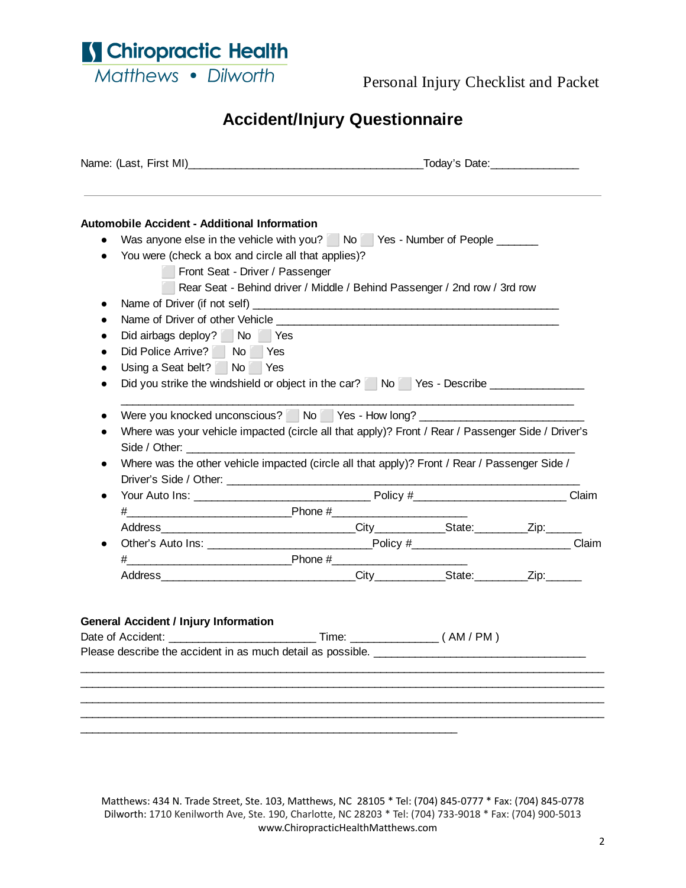S Chiropractic Health

Matthews • Dilworth

Personal Injury Checklist and Packet

# **Accident/Injury Questionnaire**

| <b>Automobile Accident - Additional Information</b>              |                                                                                                                                                                                                    |  |  |  |
|------------------------------------------------------------------|----------------------------------------------------------------------------------------------------------------------------------------------------------------------------------------------------|--|--|--|
|                                                                  | Was anyone else in the vehicle with you? No Yes - Number of People                                                                                                                                 |  |  |  |
| You were (check a box and circle all that applies)?<br>$\bullet$ |                                                                                                                                                                                                    |  |  |  |
| Front Seat - Driver / Passenger                                  |                                                                                                                                                                                                    |  |  |  |
|                                                                  | Rear Seat - Behind driver / Middle / Behind Passenger / 2nd row / 3rd row                                                                                                                          |  |  |  |
| $\bullet$                                                        |                                                                                                                                                                                                    |  |  |  |
| $\bullet$                                                        |                                                                                                                                                                                                    |  |  |  |
| Did airbags deploy? No Yes<br>$\bullet$                          |                                                                                                                                                                                                    |  |  |  |
| Did Police Arrive? No Yes<br>$\bullet$                           |                                                                                                                                                                                                    |  |  |  |
| Using a Seat belt? No Yes<br>$\bullet$                           |                                                                                                                                                                                                    |  |  |  |
|                                                                  | Did you strike the windshield or object in the car? No Yes - Describe                                                                                                                              |  |  |  |
|                                                                  |                                                                                                                                                                                                    |  |  |  |
| $\bullet$                                                        | Where was your vehicle impacted (circle all that apply)? Front / Rear / Passenger Side / Driver's<br>Where was the other vehicle impacted (circle all that apply)? Front / Rear / Passenger Side / |  |  |  |
|                                                                  |                                                                                                                                                                                                    |  |  |  |
| $\bullet$                                                        | $\#$ Phone $\#$                                                                                                                                                                                    |  |  |  |
|                                                                  |                                                                                                                                                                                                    |  |  |  |
|                                                                  |                                                                                                                                                                                                    |  |  |  |
|                                                                  |                                                                                                                                                                                                    |  |  |  |
|                                                                  |                                                                                                                                                                                                    |  |  |  |
|                                                                  |                                                                                                                                                                                                    |  |  |  |
|                                                                  |                                                                                                                                                                                                    |  |  |  |
| <b>General Accident / Injury Information</b>                     |                                                                                                                                                                                                    |  |  |  |
|                                                                  |                                                                                                                                                                                                    |  |  |  |
|                                                                  |                                                                                                                                                                                                    |  |  |  |
|                                                                  |                                                                                                                                                                                                    |  |  |  |
|                                                                  |                                                                                                                                                                                                    |  |  |  |
|                                                                  |                                                                                                                                                                                                    |  |  |  |
|                                                                  |                                                                                                                                                                                                    |  |  |  |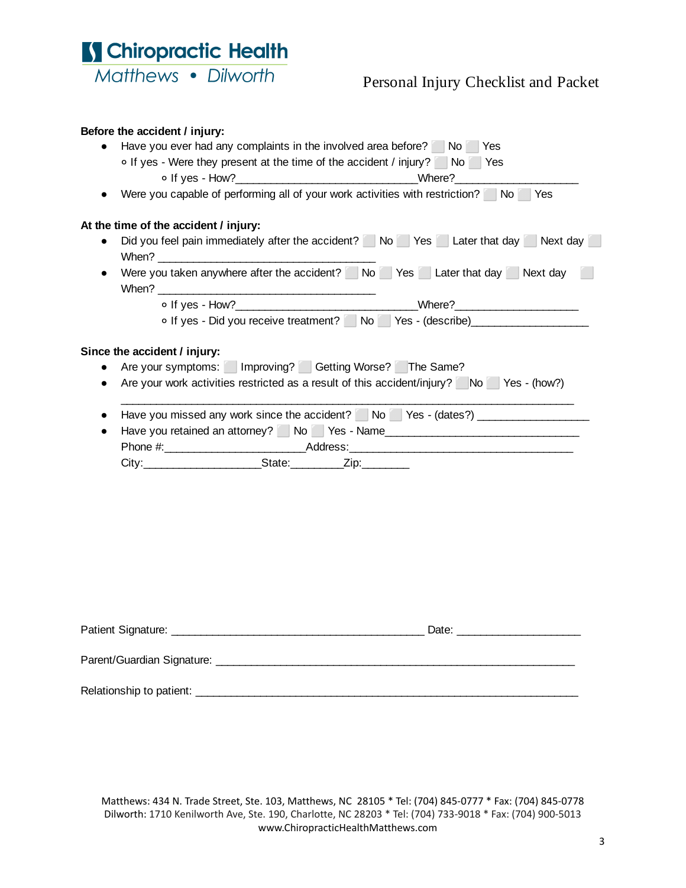

### Personal Injury Checklist and Packet

#### **Before the accident / injury:**

| Have you ever had any complaints in the involved area before? No Yes<br>o If yes - Were they present at the time of the accident / injury? No Yes                                                                                                                 |
|-------------------------------------------------------------------------------------------------------------------------------------------------------------------------------------------------------------------------------------------------------------------|
|                                                                                                                                                                                                                                                                   |
| Were you capable of performing all of your work activities with restriction? No Yes                                                                                                                                                                               |
| At the time of the accident / injury:                                                                                                                                                                                                                             |
| Did you feel pain immediately after the accident? No Yes Later that day Next day<br>$\bullet$                                                                                                                                                                     |
| Were you taken anywhere after the accident? No Yes Later that day Next day                                                                                                                                                                                        |
|                                                                                                                                                                                                                                                                   |
| o If yes - Did you receive treatment? No Yes - (describe)                                                                                                                                                                                                         |
| Are your symptoms:   Improving?   Getting Worse?   The Same?<br>$\bullet$<br>Are your work activities restricted as a result of this accident/injury? No Yes - (how?)<br>$\bullet$<br>Have you missed any work since the accident? No Yes - (dates?)<br>$\bullet$ |
| Have you retained an attorney? No Yes - Name<br>$\bullet$                                                                                                                                                                                                         |
|                                                                                                                                                                                                                                                                   |
|                                                                                                                                                                                                                                                                   |
|                                                                                                                                                                                                                                                                   |
| Date: the contract of the contract of the contract of the contract of the contract of the contract of the contract of the contract of the contract of the contract of the contract of the contract of the contract of the cont<br>Parent/Guardian Signature:      |

Relationship to patient: \_\_\_\_\_\_\_\_\_\_\_\_\_\_\_\_\_\_\_\_\_\_\_\_\_\_\_\_\_\_\_\_\_\_\_\_\_\_\_\_\_\_\_\_\_\_\_\_\_\_\_\_\_\_\_\_\_\_\_\_\_\_\_\_\_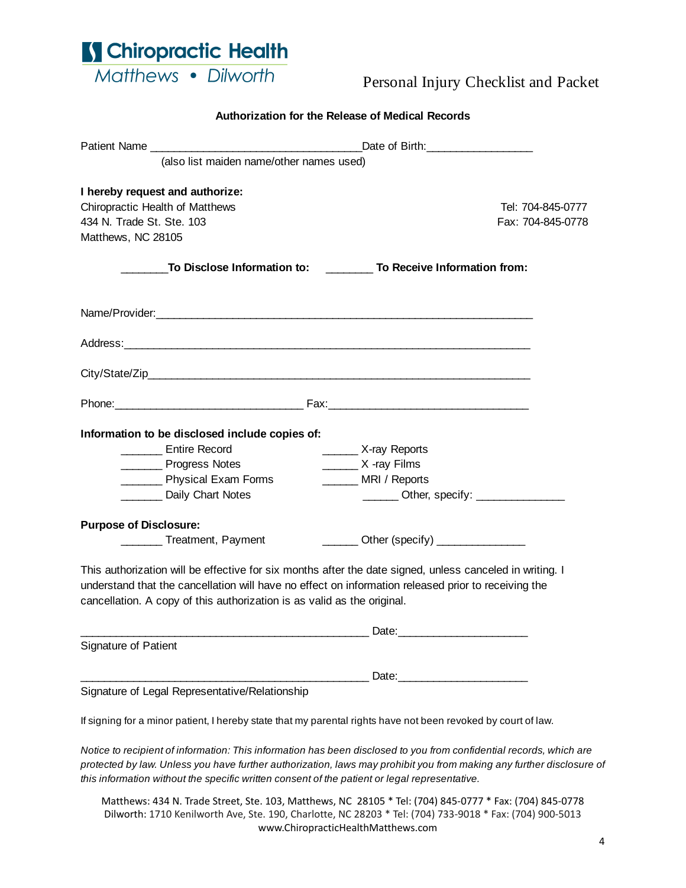

## Personal Injury Checklist and Packet

| Authorization for the Release of Medical Records                                                                                                                               |                                                                                                                     |  |  |  |
|--------------------------------------------------------------------------------------------------------------------------------------------------------------------------------|---------------------------------------------------------------------------------------------------------------------|--|--|--|
|                                                                                                                                                                                |                                                                                                                     |  |  |  |
| (also list maiden name/other names used)                                                                                                                                       |                                                                                                                     |  |  |  |
| I hereby request and authorize:                                                                                                                                                |                                                                                                                     |  |  |  |
| Chiropractic Health of Matthews                                                                                                                                                | Tel: 704-845-0777                                                                                                   |  |  |  |
| 434 N. Trade St. Ste. 103                                                                                                                                                      | Fax: 704-845-0778                                                                                                   |  |  |  |
| Matthews, NC 28105                                                                                                                                                             |                                                                                                                     |  |  |  |
|                                                                                                                                                                                | To Disclose Information to: To Receive Information from:                                                            |  |  |  |
| Name/Provider: experience and a series of the series of the series of the series of the series of the series of                                                                |                                                                                                                     |  |  |  |
|                                                                                                                                                                                |                                                                                                                     |  |  |  |
|                                                                                                                                                                                |                                                                                                                     |  |  |  |
|                                                                                                                                                                                |                                                                                                                     |  |  |  |
|                                                                                                                                                                                |                                                                                                                     |  |  |  |
| Information to be disclosed include copies of:<br>Entire Record                                                                                                                |                                                                                                                     |  |  |  |
| Progress Notes                                                                                                                                                                 | X-ray Reports<br>$\frac{1}{2}$ X -ray Films                                                                         |  |  |  |
| Physical Exam Forms                                                                                                                                                            | MRI / Reports                                                                                                       |  |  |  |
| Daily Chart Notes                                                                                                                                                              |                                                                                                                     |  |  |  |
|                                                                                                                                                                                |                                                                                                                     |  |  |  |
| <b>Purpose of Disclosure:</b>                                                                                                                                                  |                                                                                                                     |  |  |  |
|                                                                                                                                                                                | ________ Treatment, Payment ________________ Other (specify) ___________________                                    |  |  |  |
| understand that the cancellation will have no effect on information released prior to receiving the<br>cancellation. A copy of this authorization is as valid as the original. | This authorization will be effective for six months after the date signed, unless canceled in writing. I            |  |  |  |
|                                                                                                                                                                                |                                                                                                                     |  |  |  |
| Signature of Patient                                                                                                                                                           |                                                                                                                     |  |  |  |
|                                                                                                                                                                                |                                                                                                                     |  |  |  |
| Signature of Legal Representative/Relationship                                                                                                                                 |                                                                                                                     |  |  |  |
|                                                                                                                                                                                | If signing for a minor patient, I hereby state that my parental rights have not been revoked by court of law.       |  |  |  |
|                                                                                                                                                                                | Notice to recipient of information: This information has been disclosed to you from confidential records, which are |  |  |  |

*protected by law. Unless you have further authorization, laws may prohibit you from making any further disclosure of this information without the specific written consent of the patient or legal representative.*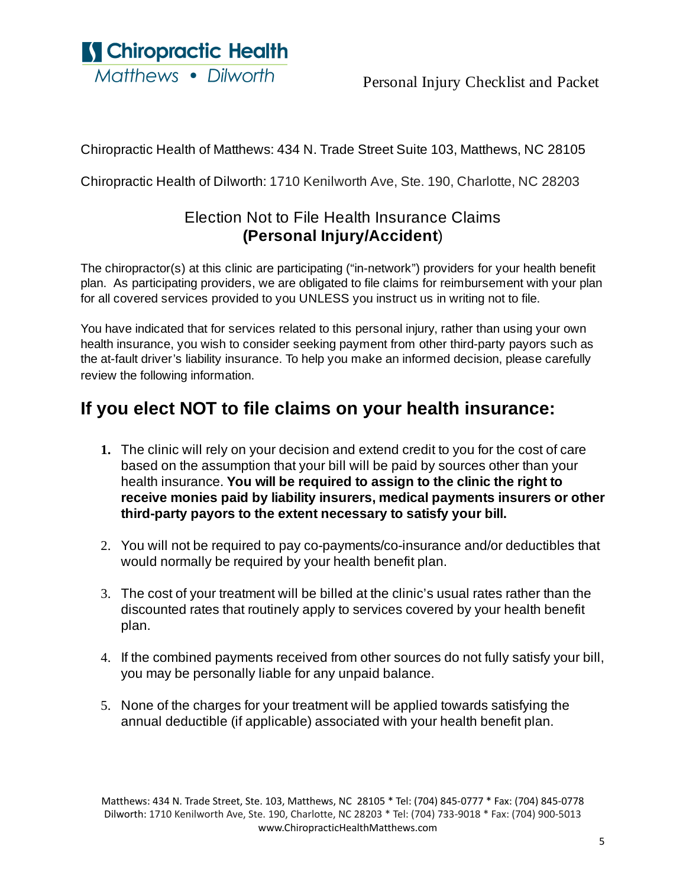S Chiropractic Health Matthews • Dilworth

Chiropractic Health of Matthews: 434 N. Trade Street Suite 103, Matthews, NC 28105

Chiropractic Health of Dilworth: 1710 Kenilworth Ave, Ste. 190, Charlotte, NC 28203

## Election Not to File Health Insurance Claims **(Personal Injury/Accident**)

The chiropractor(s) at this clinic are participating ("in-network") providers for your health benefit plan. As participating providers, we are obligated to file claims for reimbursement with your plan for all covered services provided to you UNLESS you instruct us in writing not to file.

You have indicated that for services related to this personal injury, rather than using your own health insurance, you wish to consider seeking payment from other third-party payors such as the at-fault driver's liability insurance. To help you make an informed decision, please carefully review the following information.

# **If you elect NOT to file claims on your health insurance:**

- **1.** The clinic will rely on your decision and extend credit to you for the cost of care based on the assumption that your bill will be paid by sources other than your health insurance. **You will be required to assign to the clinic the right to receive monies paid by liability insurers, medical payments insurers or other third-party payors to the extent necessary to satisfy your bill.**
- 2. You will not be required to pay co-payments/co-insurance and/or deductibles that would normally be required by your health benefit plan.
- 3. The cost of your treatment will be billed at the clinic's usual rates rather than the discounted rates that routinely apply to services covered by your health benefit plan.
- 4. If the combined payments received from other sources do not fully satisfy your bill, you may be personally liable for any unpaid balance.
- 5. None of the charges for your treatment will be applied towards satisfying the annual deductible (if applicable) associated with your health benefit plan.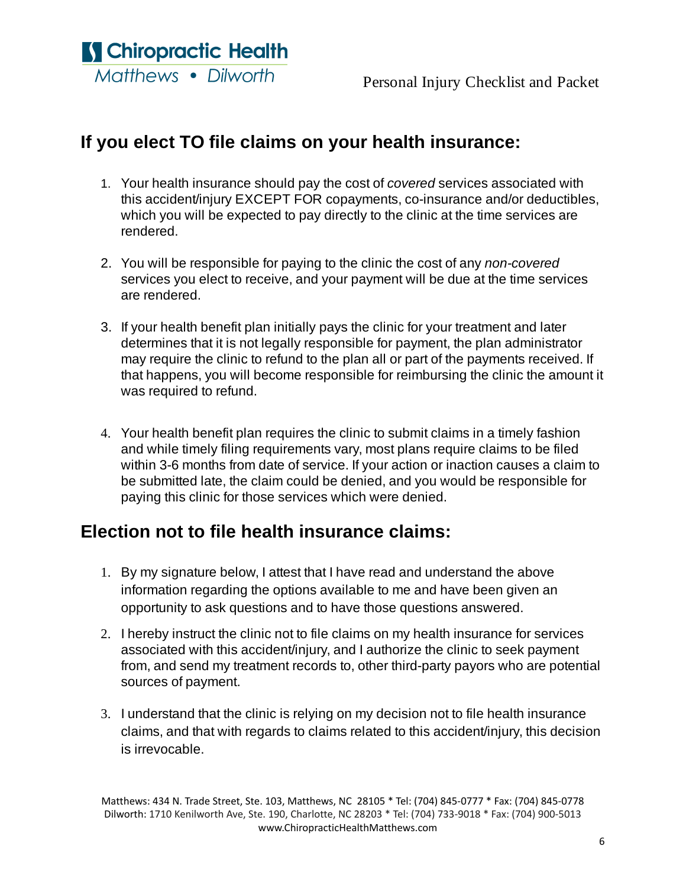S Chiropractic Health Matthews • Dilworth

# **If you elect TO file claims on your health insurance:**

- 1. Your health insurance should pay the cost of *covered* services associated with this accident/injury EXCEPT FOR copayments, co-insurance and/or deductibles, which you will be expected to pay directly to the clinic at the time services are rendered.
- 2. You will be responsible for paying to the clinic the cost of any *non-covered* services you elect to receive, and your payment will be due at the time services are rendered.
- 3. If your health benefit plan initially pays the clinic for your treatment and later determines that it is not legally responsible for payment, the plan administrator may require the clinic to refund to the plan all or part of the payments received. If that happens, you will become responsible for reimbursing the clinic the amount it was required to refund.
- 4. Your health benefit plan requires the clinic to submit claims in a timely fashion and while timely filing requirements vary, most plans require claims to be filed within 3-6 months from date of service. If your action or inaction causes a claim to be submitted late, the claim could be denied, and you would be responsible for paying this clinic for those services which were denied.

## **Election not to file health insurance claims:**

- 1. By my signature below, I attest that I have read and understand the above information regarding the options available to me and have been given an opportunity to ask questions and to have those questions answered.
- 2. I hereby instruct the clinic not to file claims on my health insurance for services associated with this accident/injury, and I authorize the clinic to seek payment from, and send my treatment records to, other third-party payors who are potential sources of payment.
- 3. I understand that the clinic is relying on my decision not to file health insurance claims, and that with regards to claims related to this accident/injury, this decision is irrevocable.